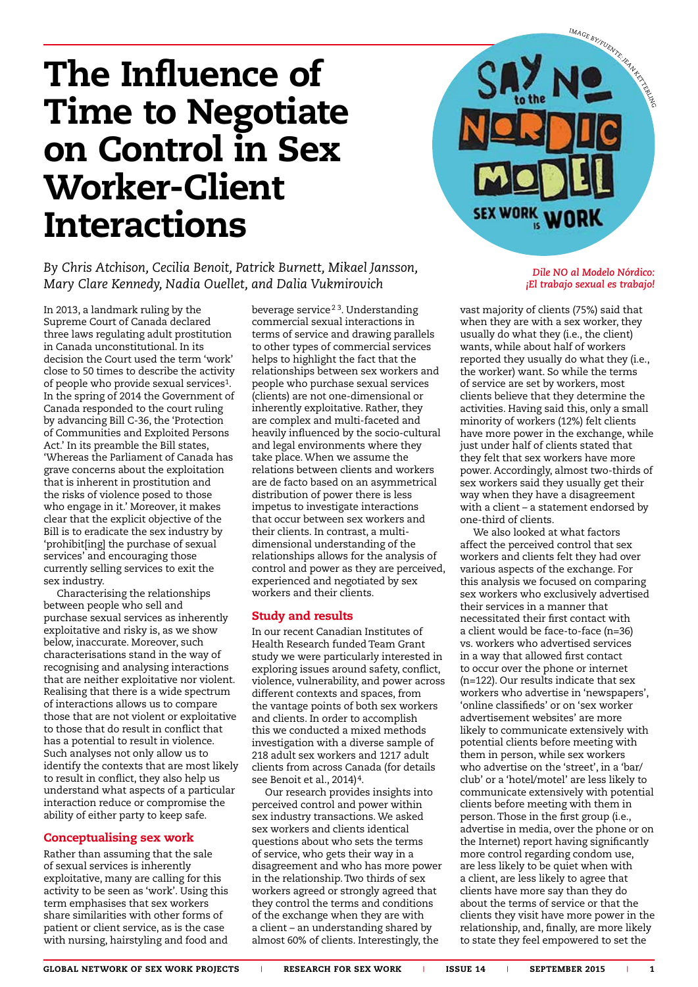## The Influence of Time to Negotiate on Control in Sex Worker-Client Interactions

*By Chris Atchison, Cecilia Benoit, Patrick Burnett, Mikael Jansson, Mary Clare Kennedy, Nadia Ouellet, and Dalia Vukmirovich*

In 2013, a landmark ruling by the Supreme Court of Canada declared three laws regulating adult prostitution in Canada unconstitutional. In its decision the Court used the term 'work' close to 50 times to describe the activity of people who provide sexual services1. In the spring of 2014 the Government of Canada responded to the court ruling by advancing Bill C-36, the 'Protection of Communities and Exploited Persons Act.' In its preamble the Bill states, 'Whereas the Parliament of Canada has grave concerns about the exploitation that is inherent in prostitution and the risks of violence posed to those who engage in it.' Moreover, it makes clear that the explicit objective of the Bill is to eradicate the sex industry by 'prohibit[ing] the purchase of sexual services' and encouraging those currently selling services to exit the sex industry.

Characterising the relationships between people who sell and purchase sexual services as inherently exploitative and risky is, as we show below, inaccurate. Moreover, such characterisations stand in the way of recognising and analysing interactions that are neither exploitative nor violent. Realising that there is a wide spectrum of interactions allows us to compare those that are not violent or exploitative to those that do result in conflict that has a potential to result in violence. Such analyses not only allow us to identify the contexts that are most likely to result in conflict, they also help us understand what aspects of a particular interaction reduce or compromise the ability of either party to keep safe.

## Conceptualising sex work

Rather than assuming that the sale of sexual services is inherently exploitative, many are calling for this activity to be seen as 'work'. Using this term emphasises that sex workers share similarities with other forms of patient or client service, as is the case with nursing, hairstyling and food and

beverage service<sup>23</sup>. Understanding commercial sexual interactions in terms of service and drawing parallels to other types of commercial services helps to highlight the fact that the relationships between sex workers and people who purchase sexual services (clients) are not one-dimensional or inherently exploitative. Rather, they are complex and multi-faceted and heavily influenced by the socio-cultural and legal environments where they take place. When we assume the relations between clients and workers are de facto based on an asymmetrical distribution of power there is less impetus to investigate interactions that occur between sex workers and their clients. In contrast, a multidimensional understanding of the relationships allows for the analysis of control and power as they are perceived, experienced and negotiated by sex workers and their clients.

## Study and results

In our recent Canadian Institutes of Health Research funded Team Grant study we were particularly interested in exploring issues around safety, conflict, violence, vulnerability, and power across different contexts and spaces, from the vantage points of both sex workers and clients. In order to accomplish this we conducted a mixed methods investigation with a diverse sample of 218 adult sex workers and 1217 adult clients from across Canada (for details see Benoit et al., 2014)<sup>4</sup>.

Our research provides insights into perceived control and power within sex industry transactions. We asked sex workers and clients identical questions about who sets the terms of service, who gets their way in a disagreement and who has more power in the relationship. Two thirds of sex workers agreed or strongly agreed that they control the terms and conditions of the exchange when they are with a client – an understanding shared by almost 60% of clients. Interestingly, the



### *Dile NO al Modelo Nórdico: ¡El trabajo sexual es trabajo!*

vast majority of clients (75%) said that when they are with a sex worker, they usually do what they (i.e., the client) wants, while about half of workers reported they usually do what they (i.e., the worker) want. So while the terms of service are set by workers, most clients believe that they determine the activities. Having said this, only a small minority of workers (12%) felt clients have more power in the exchange, while just under half of clients stated that they felt that sex workers have more power. Accordingly, almost two-thirds of sex workers said they usually get their way when they have a disagreement with a client – a statement endorsed by one-third of clients.

We also looked at what factors affect the perceived control that sex workers and clients felt they had over various aspects of the exchange. For this analysis we focused on comparing sex workers who exclusively advertised their services in a manner that necessitated their first contact with a client would be face-to-face (n=36) vs. workers who advertised services in a way that allowed first contact to occur over the phone or internet (n=122). Our results indicate that sex workers who advertise in 'newspapers', 'online classifieds' or on 'sex worker advertisement websites' are more likely to communicate extensively with potential clients before meeting with them in person, while sex workers who advertise on the 'street', in a 'bar/ club' or a 'hotel/motel' are less likely to communicate extensively with potential clients before meeting with them in person. Those in the first group (i.e., advertise in media, over the phone or on the Internet) report having significantly more control regarding condom use, are less likely to be quiet when with a client, are less likely to agree that clients have more say than they do about the terms of service or that the clients they visit have more power in the relationship, and, finally, are more likely to state they feel empowered to set the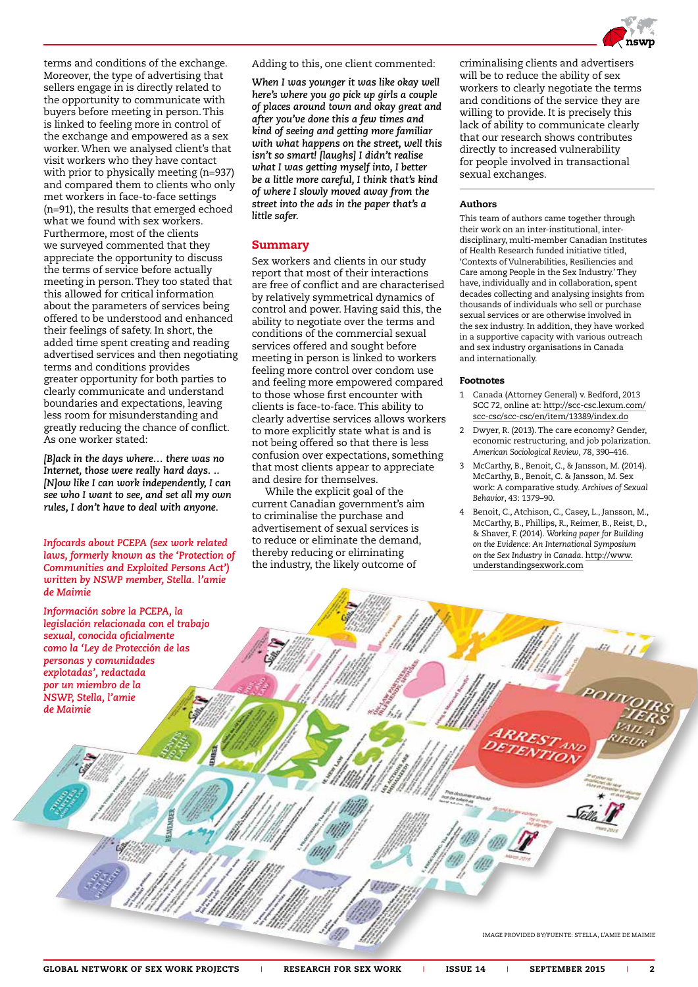

terms and conditions of the exchange. Moreover, the type of advertising that sellers engage in is directly related to the opportunity to communicate with buyers before meeting in person. This is linked to feeling more in control of the exchange and empowered as a sex worker. When we analysed client's that visit workers who they have contact with prior to physically meeting (n=937) and compared them to clients who only met workers in face-to-face settings (n=91), the results that emerged echoed what we found with sex workers. Furthermore, most of the clients we surveyed commented that they appreciate the opportunity to discuss the terms of service before actually meeting in person. They too stated that this allowed for critical information about the parameters of services being offered to be understood and enhanced their feelings of safety. In short, the added time spent creating and reading advertised services and then negotiating terms and conditions provides greater opportunity for both parties to clearly communicate and understand boundaries and expectations, leaving less room for misunderstanding and greatly reducing the chance of conflict. As one worker stated:

*[B]ack in the days where… there was no Internet, those were really hard days. .. [N]ow like I can work independently, I can see who I want to see, and set all my own rules, I don't have to deal with anyone.*

*Infocards about PCEPA (sex work related laws, formerly known as the 'Protection of Communities and Exploited Persons Act') written by NSWP member, Stella. l'amie de Maimie*

*Información sobre la PCEPA, la legislación relacionada con el trabajo sexual, conocida oficialmente como la 'Ley de Protección de las personas y comunidades explotadas', redactada por un miembro de la NSWP, Stella, l'amie de Maimie*

Adding to this, one client commented:

*When I was younger it was like okay well here's where you go pick up girls a couple of places around town and okay great and after you've done this a few times and kind of seeing and getting more familiar with what happens on the street, well this isn't so smart! [laughs] I didn't realise what I was getting myself into, I better be a little more careful, I think that's kind of where I slowly moved away from the street into the ads in the paper that's a little safer.*

### Summary

Sex workers and clients in our study report that most of their interactions are free of conflict and are characterised by relatively symmetrical dynamics of control and power. Having said this, the ability to negotiate over the terms and conditions of the commercial sexual services offered and sought before meeting in person is linked to workers feeling more control over condom use and feeling more empowered compared to those whose first encounter with clients is face-to-face. This ability to clearly advertise services allows workers to more explicitly state what is and is not being offered so that there is less confusion over expectations, something that most clients appear to appreciate and desire for themselves.

While the explicit goal of the current Canadian government's aim to criminalise the purchase and advertisement of sexual services is to reduce or eliminate the demand, thereby reducing or eliminating the industry, the likely outcome of

criminalising clients and advertisers will be to reduce the ability of sex workers to clearly negotiate the terms and conditions of the service they are willing to provide. It is precisely this lack of ability to communicate clearly that our research shows contributes directly to increased vulnerability for people involved in transactional sexual exchanges.

#### Authors

This team of authors came together through their work on an inter-institutional, interdisciplinary, multi-member Canadian Institutes of Health Research funded initiative titled, 'Contexts of Vulnerabilities, Resiliencies and Care among People in the Sex Industry.' They have, individually and in collaboration, spent decades collecting and analysing insights from thousands of individuals who sell or purchase sexual services or are otherwise involved in the sex industry. In addition, they have worked in a supportive capacity with various outreach and sex industry organisations in Canada and internationally.

### Footnotes

- 1 Canada (Attorney General) v. Bedford, 2013 SCC 72, online at: [http://scc-csc.lexum.com/](http://scc-csc.lexum.com/scc-csc/scc-csc/en/item/13389/index.do) [scc-csc/scc-csc/en/item/13389/index.do](http://scc-csc.lexum.com/scc-csc/scc-csc/en/item/13389/index.do)
- 2 Dwyer, R. (2013). The care economy? Gender, economic restructuring, and job polarization. *American Sociological Review*, 78, 390–416.
- 3 McCarthy, B., Benoit, C., & Jansson, M. (2014). McCarthy, B., Benoit, C. & Jansson, M. Sex work: A comparative study. *Archives of Sexual Behavior*, 43: 1379–90.
- 4 Benoit, C., Atchison, C., Casey, L., Jansson, M., McCarthy, B., Phillips, R., Reimer, B., Reist, D., & Shaver, F. (2014). *Working paper for Building on the Evidence: An International Symposium on the Sex Industry in Canada*. [http://www.](http://www.understandingsexwork.com) [understandingsexwork.com](http://www.understandingsexwork.com)

IMAGE PROVIDED BY/FUENTE: STELLA, L'AMIE DE MAIMIE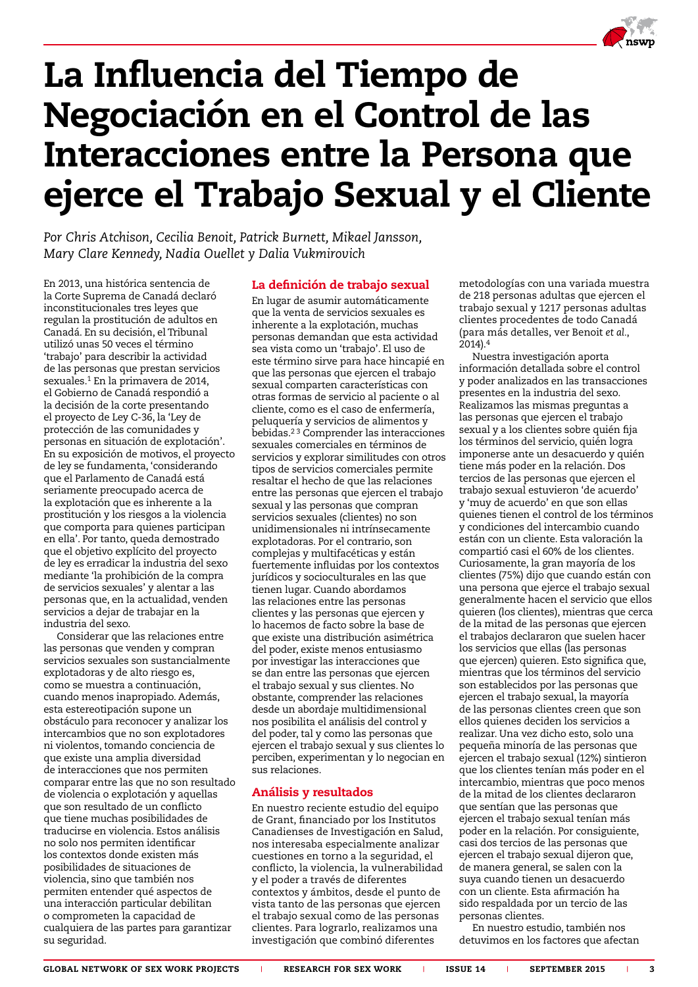

# La Influencia del Tiempo de Negociación en el Control de las Interacciones entre la Persona que ejerce el Trabajo Sexual y el Cliente

*Por Chris Atchison, Cecilia Benoit, Patrick Burnett, Mikael Jansson, Mary Clare Kennedy, Nadia Ouellet y Dalia Vukmirovich*

En 2013, una histórica sentencia de la Corte Suprema de Canadá declaró inconstitucionales tres leyes que regulan la prostitución de adultos en Canadá. En su decisión, el Tribunal utilizó unas 50 veces el término 'trabajo' para describir la actividad de las personas que prestan servicios sexuales.1 En la primavera de 2014, el Gobierno de Canadá respondió a la decisión de la corte presentando el proyecto de Ley C-36, la 'Ley de protección de las comunidades y personas en situación de explotación'. En su exposición de motivos, el proyecto de ley se fundamenta, 'considerando que el Parlamento de Canadá está seriamente preocupado acerca de la explotación que es inherente a la prostitución y los riesgos a la violencia que comporta para quienes participan en ella'. Por tanto, queda demostrado que el objetivo explícito del proyecto de ley es erradicar la industria del sexo mediante 'la prohibición de la compra de servicios sexuales' y alentar a las personas que, en la actualidad, venden servicios a dejar de trabajar en la industria del sexo.

Considerar que las relaciones entre las personas que venden y compran servicios sexuales son sustancialmente explotadoras y de alto riesgo es, como se muestra a continuación, cuando menos inapropiado. Además, esta estereotipación supone un obstáculo para reconocer y analizar los intercambios que no son explotadores ni violentos, tomando conciencia de que existe una amplia diversidad de interacciones que nos permiten comparar entre las que no son resultado de violencia o explotación y aquellas que son resultado de un conflicto que tiene muchas posibilidades de traducirse en violencia. Estos análisis no solo nos permiten identificar los contextos donde existen más posibilidades de situaciones de violencia, sino que también nos permiten entender qué aspectos de una interacción particular debilitan o comprometen la capacidad de cualquiera de las partes para garantizar su seguridad.

## La definición de trabajo sexual

En lugar de asumir automáticamente que la venta de servicios sexuales es inherente a la explotación, muchas personas demandan que esta actividad sea vista como un 'trabajo'. El uso de este término sirve para hace hincapié en que las personas que ejercen el trabajo sexual comparten características con otras formas de servicio al paciente o al cliente, como es el caso de enfermería, peluquería y servicios de alimentos y bebidas.2 3 Comprender las interacciones sexuales comerciales en términos de servicios y explorar similitudes con otros tipos de servicios comerciales permite resaltar el hecho de que las relaciones entre las personas que ejercen el trabajo sexual y las personas que compran servicios sexuales (clientes) no son unidimensionales ni intrínsecamente explotadoras. Por el contrario, son complejas y multifacéticas y están fuertemente influidas por los contextos jurídicos y socioculturales en las que tienen lugar. Cuando abordamos las relaciones entre las personas clientes y las personas que ejercen y lo hacemos de facto sobre la base de que existe una distribución asimétrica del poder, existe menos entusiasmo por investigar las interacciones que se dan entre las personas que ejercen el trabajo sexual y sus clientes. No obstante, comprender las relaciones desde un abordaje multidimensional nos posibilita el análisis del control y del poder, tal y como las personas que ejercen el trabajo sexual y sus clientes lo perciben, experimentan y lo negocian en sus relaciones.

## Análisis y resultados

En nuestro reciente estudio del equipo de Grant, financiado por los Institutos Canadienses de Investigación en Salud, nos interesaba especialmente analizar cuestiones en torno a la seguridad, el conflicto, la violencia, la vulnerabilidad y el poder a través de diferentes contextos y ámbitos, desde el punto de vista tanto de las personas que ejercen el trabajo sexual como de las personas clientes. Para lograrlo, realizamos una investigación que combinó diferentes

metodologías con una variada muestra de 218 personas adultas que ejercen el trabajo sexual y 1217 personas adultas clientes procedentes de todo Canadá (para más detalles, ver Benoit *et al.*, 2014).4

Nuestra investigación aporta información detallada sobre el control y poder analizados en las transacciones presentes en la industria del sexo. Realizamos las mismas preguntas a las personas que ejercen el trabajo sexual y a los clientes sobre quién fija los términos del servicio, quién logra imponerse ante un desacuerdo y quién tiene más poder en la relación. Dos tercios de las personas que ejercen el trabajo sexual estuvieron 'de acuerdo' y 'muy de acuerdo' en que son ellas quienes tienen el control de los términos y condiciones del intercambio cuando están con un cliente. Esta valoración la compartió casi el 60% de los clientes. Curiosamente, la gran mayoría de los clientes (75%) dijo que cuando están con una persona que ejerce el trabajo sexual generalmente hacen el servicio que ellos quieren (los clientes), mientras que cerca de la mitad de las personas que ejercen el trabajos declararon que suelen hacer los servicios que ellas (las personas que ejercen) quieren. Esto significa que, mientras que los términos del servicio son establecidos por las personas que ejercen el trabajo sexual, la mayoría de las personas clientes creen que son ellos quienes deciden los servicios a realizar. Una vez dicho esto, solo una pequeña minoría de las personas que ejercen el trabajo sexual (12%) sintieron que los clientes tenían más poder en el intercambio, mientras que poco menos de la mitad de los clientes declararon que sentían que las personas que ejercen el trabajo sexual tenían más poder en la relación. Por consiguiente, casi dos tercios de las personas que ejercen el trabajo sexual dijeron que, de manera general, se salen con la suya cuando tienen un desacuerdo con un cliente. Esta afirmación ha sido respaldada por un tercio de las personas clientes.

En nuestro estudio, también nos detuvimos en los factores que afectan